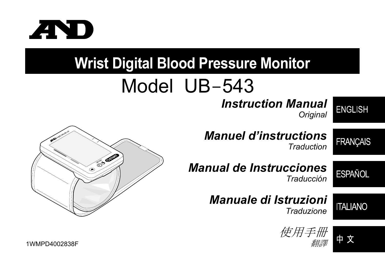

# **Wrist Digital Blood Pressure Monitor**

# Model UB-543

### *Instruction Manual Original*

### **ENGLISH**

*Manuel d'instructions Traduction* 

## **FRANÇAIS**

*Manual de Instrucciones*  **ESPAÑOL** *Traducción* 

### *Manuale di Istruzioni Traduzione*

**ITALIANO** 







 $1 \text{WMPD4002838F}$  . The contraction of the contraction of the contraction of the contraction of the contraction of the contraction of the contraction of the contraction of the contraction of the contraction of the contr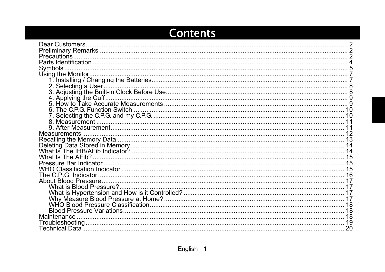### **Contents**

| Symbols.            |    |
|---------------------|----|
|                     |    |
|                     |    |
|                     |    |
|                     |    |
|                     |    |
|                     |    |
|                     |    |
|                     |    |
|                     |    |
|                     |    |
| <b>Measurements</b> |    |
|                     |    |
|                     |    |
|                     |    |
|                     |    |
|                     |    |
|                     |    |
|                     |    |
|                     |    |
|                     |    |
|                     |    |
|                     |    |
|                     |    |
|                     |    |
| Maintenance         |    |
|                     |    |
|                     | 20 |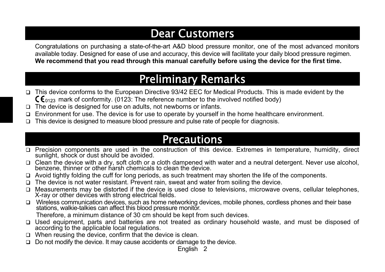### Dear Customers

Congratulations on purchasing a state-of-the-art A&D blood pressure monitor, one of the most advanced monitors available today. Designed for ease of use and accuracy, this device will facilitate your daily blood pressure regimen. **We recommend that you read through this manual carefully before using the device for the first time.** 

## Preliminary Remarks

- $\Box$  This device conforms to the European Directive 93/42 EEC for Medical Products. This is made evident by the  $\mathsf{C}\mathsf{E}_{0123}$  mark of conformity. (0123: The reference number to the involved notified body)
- $\Box$  The device is designed for use on adults, not newborns or infants.
- Environment for use. The device is for use to operate by yourself in the home healthcare environment.
- $\Box$  This device is designed to measure blood pressure and pulse rate of people for diagnosis.

### Precautions

- Precision components are used in the construction of this device. Extremes in temperature, humidity, direct sunlight, shock or dust should be avoided.
- $\Box$  Clean the device with a dry, soft cloth or a cloth dampened with water and a neutral detergent. Never use alcohol, benzene, thinner or other harsh chemicals to clean the device.
- $\Box$  Avoid tightly folding the cuff for long periods, as such treatment may shorten the life of the components.
- $\Box$  The device is not water resistant. Prevent rain, sweat and water from soiling the device.
- $\Box$  Measurements may be distorted if the device is used close to televisions, microwave ovens, cellular telephones,  $X$ -ray or other devices with strong electrical fields.
- □ Wireless communication devices, such as home networking devices, mobile phones, cordless phones and their base stations, walkie-talkies can affect this blood pressure monitor. Therefore, a minimum distance of 30 cm should be kept from such devices.
- $\Box$  Used equipment, parts and batteries are not treated as ordinary household waste, and must be disposed of according to the applicable local regulations.
- $\Box$  When reusing the device, confirm that the device is clean.
- $\Box$  Do not modify the device. It may cause accidents or damage to the device.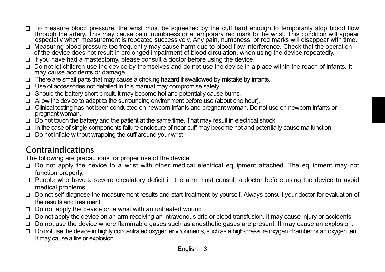- To measure blood pressure, the wrist must be squeezed by the cuff hard enough to temporarily stop blood flow<br>through the artery. This may cause pain, numbness or a temporary red mark to the wrist. This condition will appea  $\Box$
- $\Box$  Measuring blood pressure too frequently may cause harm due to blood flow interference. Check that the operation of the device does not result in prolonged impairment of blood circulation, when using the device repeat
- $\Box$  If you have had a mastectomy, please consult a doctor before using the device.
- $\Box$  Do not let children use the device by themselves and do not use the device in a place within the reach of infants. It may cause accidents or damage.
- $\Box$  There are small parts that may cause a choking hazard if swallowed by mistake by infants.
- $\Box$  Use of accessories not detailed in this manual may compromise safety.
- $\Box$  Should the battery short-circuit, it may become hot and potentially cause burns.
- $\Box$  Allow the device to adapt to the surrounding environment before use (about one hour).
- □ Clinical testing has not been conducted on newborn infants and pregnant woman. Do not use on newborn infants or pregnant woman.
- $\Box$  Do not touch the battery and the patient at the same time. That may result in electrical shock.
- $\Box$  In the case of single components failure enclosure of near cuff may become hot and potentially cause malfunction.
- $\Box$  Do not inflate without wrapping the cuff around your wrist.

### Contraindications

The following are precautions for proper use of the device.

- $\Box$  Do not apply the device to a wrist with other medical electrical equipment attached. The equipment may not function properly.
- $\Box$  People who have a severe circulatory deficit in the arm must consult a doctor before using the device to avoid medical problems.
- □ Do not self-diagnose the measurement results and start treatment by yourself. Always consult your doctor for evaluation of the results and treatment.
- $\Box$  Do not apply the device on a wrist with an unhealed wound.
- $\Box$  Do not apply the device on an arm receiving an intravenous drip or blood transfusion. It may cause injury or accidents.
- $\Box$  Do not use the device where flammable gases such as anesthetic gases are present. It may cause an explosion.
- $\Box$  Do not use the device in highly concentrated oxygen environments, such as a high-pressure oxygen chamber or an oxygen tent. It may cause a fire or explosion.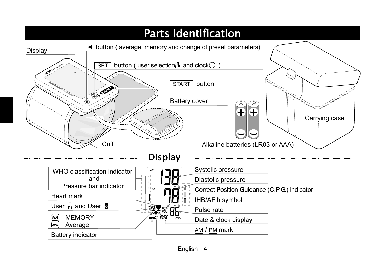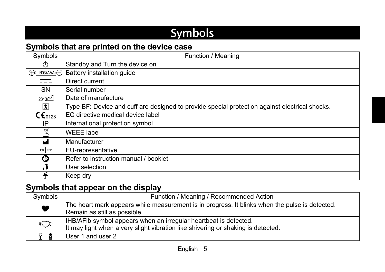## **Symbols**

### **Symbols that are printed on the device case**

| Symbols                              | Function / Meaning                                                                             |
|--------------------------------------|------------------------------------------------------------------------------------------------|
| $\mathcal{L}$                        | Standby and Turn the device on                                                                 |
| $\bigoplus$ [LR03(AAA) $\bigoplus$   | Battery installation guide                                                                     |
|                                      | Direct current                                                                                 |
| <b>SN</b>                            | Serial number                                                                                  |
| $2013$ $M$                           | Date of manufacture                                                                            |
| $ \hat{\bm{\pi}} $                   | Type BF: Device and cuff are designed to provide special protection against electrical shocks. |
| $\mathsf{C}\mathsf{E}_\mathsf{0123}$ | EC directive medical device label                                                              |
| IP                                   | International protection symbol                                                                |
| $\cancel{\mathbb{X}}$                | <b>WEEE label</b>                                                                              |
| الممم                                | Manufacturer                                                                                   |
| EC REP                               | <b>EU-representative</b>                                                                       |
| ❻                                    | Refer to instruction manual / booklet                                                          |
| ုန                                   | User selection                                                                                 |
| $\frac{1}{2}$                        | Keep dry                                                                                       |

### **Symbols that appear on the display**

| Symbols    | Function / Meaning / Recommended Action                                                                                                              |  |
|------------|------------------------------------------------------------------------------------------------------------------------------------------------------|--|
| V          | The heart mark appears while measurement is in progress. It blinks when the pulse is detected.<br>Remain as still as possible.                       |  |
| $\sqrt{(}$ | IHB/AFib symbol appears when an irregular heartbeat is detected.<br>It may light when a very slight vibration like shivering or shaking is detected. |  |
| - 8<br>λK. | User 1 and user 2                                                                                                                                    |  |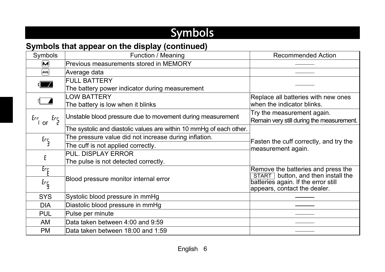## Symbols

### **Symbols that appear on the display (continued)**

| Symbols                       | Function / Meaning                                                  | <b>Recommended Action</b>                                                                                 |
|-------------------------------|---------------------------------------------------------------------|-----------------------------------------------------------------------------------------------------------|
| $\overline{\mathbf{M}}$       | Previous measurements stored in MEMORY                              |                                                                                                           |
| [AVG.]                        | Average data                                                        |                                                                                                           |
|                               | <b>FULL BATTERY</b>                                                 |                                                                                                           |
| $\frac{1}{2}$                 | The battery power indicator during measurement                      |                                                                                                           |
|                               | <b>LOW BATTERY</b>                                                  | Replace all batteries with new ones                                                                       |
| $\sqrt{2}$                    | The battery is low when it blinks                                   | when the indicator blinks.                                                                                |
| Err<br>$\epsilon_{r}$<br>l or | Unstable blood pressure due to movement during measurement          | Try the measurement again.<br>Remain very still during the measurement.                                   |
|                               | The systolic and diastolic values are within 10 mmHg of each other. |                                                                                                           |
| $\epsilon_{\text{ref}}$       | The pressure value did not increase during inflation.               | Fasten the cuff correctly, and try the<br>measurement again.                                              |
|                               | The cuff is not applied correctly.                                  |                                                                                                           |
| Е                             | <b>PUL. DISPLAY ERROR</b>                                           |                                                                                                           |
|                               | The pulse is not detected correctly.                                |                                                                                                           |
| $\epsilon_{\tau_E}$           |                                                                     | Remove the batteries and press the                                                                        |
| $E_{\rm f}$                   | Blood pressure monitor internal error                               | START button, and then install the<br>batteries again. If the error still<br>appears, contact the dealer. |
| <b>SYS</b>                    | Systolic blood pressure in mmHg                                     |                                                                                                           |
| <b>DIA</b>                    | Diastolic blood pressure in mmHg                                    |                                                                                                           |
| <b>PUL</b>                    | Pulse per minute                                                    |                                                                                                           |
| AM                            | Data taken between 4:00 and 9:59                                    |                                                                                                           |
| <b>PM</b>                     | Data taken between 18:00 and 1:59                                   |                                                                                                           |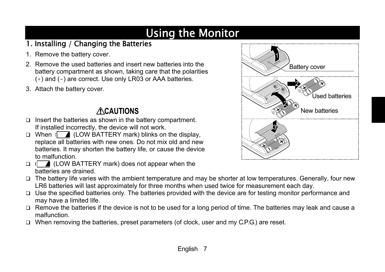## Using the Monitor

### 1. Installing / Changing the Batteries

- 1. Remove the battery cover.
- 2. Remove the used batteries and insert new batteries into the battery compartment as shown, taking care that the polarities (+) and ( -) are correct. Use only LR03 or AAA batteries.
- 3. Attach the battery cover.

### **ACAUTIONS**

- $\Box$  Insert the batteries as shown in the battery compartment. If installed incorrectly, the device will not work.
- $\Box$  When  $\Box$  (LOW BATTERY mark) blinks on the display, replace all batteries with new ones. Do not mix old and new batteries. It may shorten the battery life, or cause the device to malfunction.
- $\Box$  (LOW BATTERY mark) does not appear when the batteries are drained.
- $\Box$  The battery life varies with the ambient temperature and may be shorter at low temperatures. Generally, four new LR6 batteries will last approximately for three months when used twice for measurement each day.
- $\Box$  Use the specified batteries only. The batteries provided with the device are for testing monitor performance and may have a limited life.
- $\Box$  Remove the batteries if the device is not to be used for a long period of time. The batteries may leak and cause a malfunction.
- $\Box$  When removing the batteries, preset parameters (of clock, user and my C.P.G.) are reset.

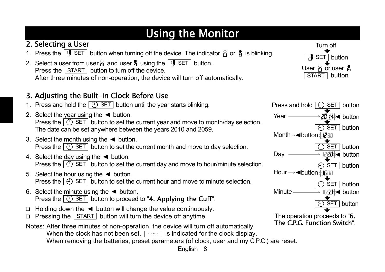## Using the Monitor

### 2. Selecting a User

- 1. Press the  $\boxed{3}$  SET button when turning off the device. The indicator  $\frac{1}{10}$  or  $\frac{1}{2}$  is blinking.
- 2. Select a user from user  $\frac{1}{10}$  and user  $\frac{1}{2}$  using the  $\frac{1}{10}$  SET button. Press the  $\vert$  START  $\vert$  button to turn off the device. After three minutes of non-operation, the device will turn off automatically.

### 3. Adjusting the Built-in Clock Before Use

- 1. Press and hold the  $\boxed{\odot}$  SET button until the year starts blinking.
- 2. Select the year using the  $\blacktriangleleft$  button. Press the  $\boxed{)}$  SET button to set the current year and move to month/day selection. The date can be set anywhere between the years 2010 and 2059.
- 3. Select the month using the  $\blacktriangleleft$  button. Press the  $\boxed{)}$  SET button to set the current month and move to day selection.
- 4. Select the day using the  $\blacktriangleleft$  button. Press the  $\boxed{)}$  SET button to set the current day and move to hour/minute selection.
- 5. Select the hour using the  $\blacktriangleleft$  button. Press the  $\vert \Theta \rangle$  SET  $\vert$  button to set the current hour and move to minute selection.
- 6. Select the minute using the  $\blacktriangleleft$  button. Press the  $\boxed{\odot}$  SET button to proceed to "4. Applying the Cuff".
- $\Box$  Holding down the  $\blacktriangleleft$  button will change the value continuously.
- $\Box$  Pressing the  $\Box$  START button will turn the device off anytime.
- Notes: After three minutes of non-operation, the device will turn off automatically. When the clock has not been set,  $\lceil -\frac{1}{2} \rceil$  is indicated for the clock display. When removing the batteries, preset parameters (of clock, user and my C.P.G.) are reset.





English 8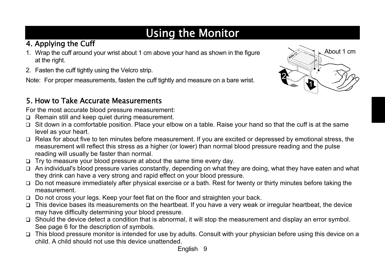## Using the Monitor

### 4. Applying the Cuff

- 1. Wrap the cuff around your wrist about 1 cm above your hand as shown in the figure at the right.
- 2. Fasten the cuff tightly using the Velcro strip.

Note: For proper measurements, fasten the cuff tightly and measure on a bare wrist.

### 5. How to Take Accurate Measurements

For the most accurate blood pressure measurement:

- $\Box$  Remain still and keep quiet during measurement.
- $\Box$  Sit down in a comfortable position. Place your elbow on a table. Raise your hand so that the cuff is at the same level as your heart.
- $\Box$  Relax for about five to ten minutes before measurement. If you are excited or depressed by emotional stress, the measurement will reflect this stress as a higher (or lower) than normal blood pressure reading and the pulse reading will usually be faster than normal.
- $\Box$  Try to measure your blood pressure at about the same time every day.
- $\Box$  An individual's blood pressure varies constantly, depending on what they are doing, what they have eaten and what they drink can have a very strong and rapid effect on your blood pressure.
- □ Do not measure immediately after physical exercise or a bath. Rest for twenty or thirty minutes before taking the measurement.
- $\Box$  Do not cross your legs. Keep your feet flat on the floor and straighten your back.
- $\Box$  This device bases its measurements on the heartbeat. If you have a very weak or irregular heartbeat, the device may have difficulty determining your blood pressure.
- $\Box$  Should the device detect a condition that is abnormal, it will stop the measurement and display an error symbol. See page 6 for the description of symbols.
- $\Box$  This blood pressure monitor is intended for use by adults. Consult with your physician before using this device on a child. A child should not use this device unattended.

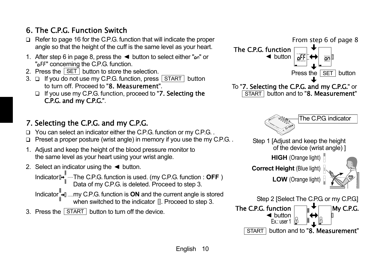### 6. The C.P.G. Function Switch

- $\Box$  Refer to page 16 for the C.P.G. function that will indicate the proper angle so that the height of the cuff is the same level as your heart.
- 1. After step 6 in page 8, press the  $\blacktriangleleft$  button to select either " $\omega$ " or " FF" concerning the C.P.G. function.
- 2. Press the SET button to store the selection.
- $3. \Box$  If you do not use my C.P.G. function, press  $\vert$  START  $\vert$  button to turn off. Proceed to "8. Measurement".
	- □ If you use my C.P.G. function, proceed to "7. Selecting the C.P.G. and my C.P.G.".

### 7. Selecting the C.P.G. and my C.P.G.

- $\Box$  You can select an indicator either the C.P.G. function or my C.P.G..
- Preset a proper posture (wrist angle) in memory if you use the my C.P.G. .
- 1. Adjust and keep the height of the blood pressure monitor to the same level as your heart using your wrist angle.
- 2. Select an indicator using the  $\blacktriangleleft$  button.

Indicator → …… The C.P.G. function is used. (my C.P.G. function : **OFF**) Data of my C.P.G. is deleted. Proceed to step 3.

- Indicator<sup>-</sup> I .... my C.P.G. function is **ON** and the current angle is stored when switched to the indicator  $\mathbb{R}$ . Proceed to step 3.
- 3. Press the  $\vert$  START  $\vert$  button to turn off the device.

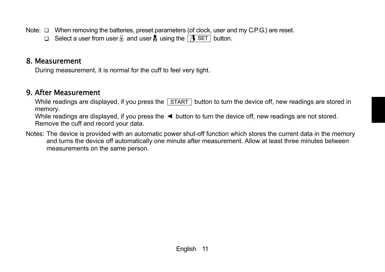Note:  $\Box$  When removing the batteries, preset parameters (of clock, user and my C.P.G.) are reset.

 $\Box$  Select a user from user  $\hat{\mathbb{A}}$  and user  $\hat{\mathbb{A}}$  using the  $\hat{\mathbb{A}}$  SET button.

#### 8. Measurement

During measurement, it is normal for the cuff to feel very tight.

#### 9. After Measurement

While readings are displayed, if you press the  $\sqrt{\text{STAT}}$  button to turn the device off, new readings are stored in memory.

While readings are displayed, if you press the  $\blacktriangleleft$  button to turn the device off, new readings are not stored. Remove the cuff and record your data.

Notes: The device is provided with an automatic power shut-off function which stores the current data in the memory and turns the device off automatically one minute after measurement. Allow at least three minutes between measurements on the same person.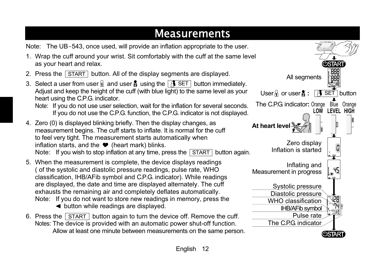## Measurements

Note: The UB-543, once used, will provide an inflation appropriate to the user.

- 1. Wrap the cuff around your wrist. Sit comfortably with the cuff at the same level as your heart and relax.
- 2. Press the START button. All of the display segments are displayed.
- 3. Select a user from user  $\frac{1}{10}$  and user  $\frac{1}{2}$  using the  $\frac{1}{10}$  SET button immediately. Adjust and keep the height of the cuff (with blue light) to the same level as your heart using the C.P.G. indicator.

- 4. Zero (0) is displayed blinking briefly. Then the display changes, as measurement begins. The cuff starts to inflate. It is normal for the cuff to feel very tight. The measurement starts automatically when inflation starts, and the  $\bullet$  (heart mark) blinks. Note: If you wish to stop inflation at any time, press the  $\sqrt{\text{STAT}}$  button again.
- 5. When the measurement is complete, the device displays readings ( of the systolic and diastolic pressure readings, pulse rate, WHO classification, IHB/AFib symbol and C.P.G. indicator). While readings are displayed, the date and time are displayed alternately. The cuff exhausts the remaining air and completely deflates automatically. Note: If you do not want to store new readings in memory, press the button while readings are displayed.
- 6. Press the START button again to turn the device off. Remove the cuff. Notes: The device is provided with an automatic power shut-off function. Allow at least one minute between measurements on the same person.



Note: If you do not use user selection, wait for the inflation for several seconds. If you do not use the C.P.G. function, the C.P.G. indicator is not displayed.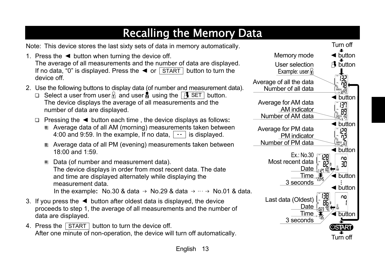## Recalling the Memory Data

Note: This device stores the last sixty sets of data in memory automatically.

- 1. Press the  $\blacktriangleleft$  button when turning the device off. The average of all measurements and the number of data are displayed. If no data, "0" is displayed. Press the  $\blacktriangleleft$  or  $\sqrt{\text{STAT}}$  button to turn the device off.
- 2. Use the following buttons to display data (of number and measurement data).
	- $\Box$  Select a user from user  $\hat{\mathbb{R}}$  and user  $\hat{\mathbb{R}}$  using the  $\begin{bmatrix} \hat{\mathbb{R}} & \hat{\mathbb{S}} \in \mathbb{T} \end{bmatrix}$  button. The device displays the average of all measurements and the number of data are displayed.
	- □ Pressing the \leq button each time, the device displays as follows:
		- Average data of all AM (morning) measurements taken between 4:00 and 9:59. In the example, If no data,  $\vert \cdot \cdot \vert$  is displayed.
		- Average data of all PM (evening) measurements taken between 18:00 and 1:59.
		- Data (of number and measurement data). The device displays in order from most recent data. The date and time are displayed alternately while displaying the measurement data. In the example: No.30 & data  $\rightarrow$  No.29 & data  $\rightarrow$   $\dots \rightarrow$  No.01 & data.
- 3. If you press the  $\blacktriangleleft$  button after oldest data is displayed, the device proceeds to step 1, the average of all measurements and the number of data are displayed.
- 4. Press the  $\vert$  START  $\vert$  button to turn the device off. After one minute of non-operation, the device will turn off automatically.

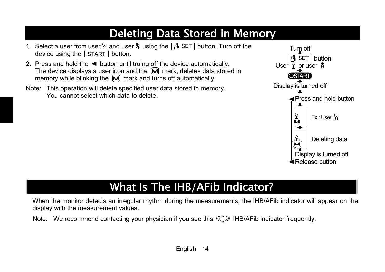## Deleting Data Stored in Memory

- 1. Select a user from user  $\frac{1}{10}$  and user  $\frac{1}{2}$  using the  $\frac{1}{10}$  SET button. Turn off the device using the START button.
- 2. Press and hold the  $\blacktriangleleft$  button until truing off the device automatically. The device displays a user icon and the  $\overline{M}$  mark, deletes data stored in memory while blinking the  $\overline{M}$  mark and turns off automatically.
- Note: This operation will delete specified user data stored in memory. You cannot select which data to delete.



## What Is The IHB/AFib Indicator?

When the monitor detects an irregular rhythm during the measurements, the IHB/AFib indicator will appear on the display with the measurement values.

Note: We recommend contacting your physician if you see this  $\langle\langle\hat{\rangle}\rangle$  IHB/AFib indicator frequently.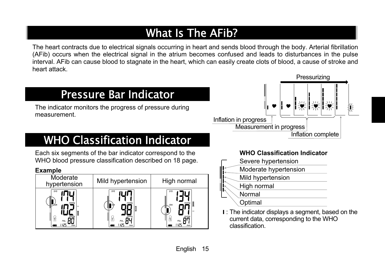## What Is The AFib?

The heart contracts due to electrical signals occurring in heart and sends blood through the body. Arterial fibrillation (AFib) occurs when the electrical signal in the atrium becomes confused and leads to disturbances in the pulse interval. AFib can cause blood to stagnate in the heart, which can easily create clots of blood, a cause of stroke and heart attack.

### Pressure Bar Indicator

 The indicator monitors the progress of pressure during measurement.

## WHO Classification Indicator

 Each six segments of the bar indicator correspond to the WHO blood pressure classification described on 18 page.

#### **Example**

| Moderate<br>hypertension                           | Mild hypertension                       | High normal                                |
|----------------------------------------------------|-----------------------------------------|--------------------------------------------|
| SYS<br>mmHg<br>mmHa<br>(1)<br>PUL.<br>μPς<br>/min. | SYS<br>mmHg<br>Dν<br>mmHa<br>11<br>PUL. | SYS<br>mmHg<br>DIA<br>mmHq<br>PUL.<br>/min |



#### **WHO Classification Indicator**

- Severe hypertension
- Moderate hypertension
- Mild hypertension
	- High normal

#### Normal

**Optimal** 

**I:** The indicator displays a segment, based on the current data, corresponding to the WHO classification.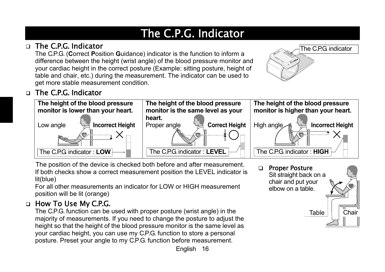## The C.P.G. Indicator

#### The C.P.G. Indicator

 The C.P.G. ( **C**orrect **P**osition **G**uidance) indicator is the function to inform a difference between the height (wrist angle) of the blood pressure monitor and your cardiac height in the correct posture (Example: sitting posture, height of table and chair, etc.) during the measurement. The indicator can be used to get more stable measurement condition.



#### The C.P.G. Indicator  $\Box$



The position of the device is checked both before and after measurement. If both checks show a correct measurement position the LEVEL indicator is lit(blue)

For all other measurements an indicator for LOW or HIGH measurement position will be lit (orange)

### □ How To Use My C.P.G.

 The C.P.G. function can be used with proper posture (wrist angle) in the majority of measurements. If you need to change the posture to adjust the height so that the height of the blood pressure monitor is the same level as your cardiac height, you can use my C.P.G. function to store a personal posture. Preset your angle to my C.P.G. function before measurement.

#### Proper Posture  $\Box$

 Sit straight back on a chair and put your elbow on a table.

Table**Chair**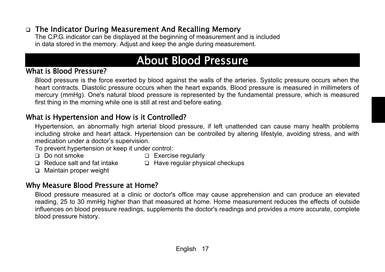#### □ The Indicator During Measurement And Recalling Memory

 The C.P.G. indicator can be displayed at the beginning of measurement and is included in data stored in the memory. Adjust and keep the angle during measurement.

### About Blood Pressure

#### What is Blood Pressure?

 Blood pressure is the force exerted by blood against the walls of the arteries. Systolic pressure occurs when the heart contracts. Diastolic pressure occurs when the heart expands. Blood pressure is measured in millimeters of mercury (mmHg). One's natural blood pressure is represented by the fundamental pressure, which is measured first thing in the morning while one is still at rest and before eating.

#### What is Hypertension and How is it Controlled?

 Hypertension, an abnormally high arterial blood pressure, if left unattended can cause many health problems including stroke and heart attack. Hypertension can be controlled by altering lifestyle, avoiding stress, and with medication under a doctor's supervision.

To prevent hypertension or keep it under control:

- 
- $\Box$  Do not smoke  $\Box$  Exercise regularly
- 
- $\Box$  Reduce salt and fat intake  $\Box$  Have regular physical checkups
- □ Maintain proper weight

#### Why Measure Blood Pressure at Home?

 Blood pressure measured at a clinic or doctor's office may cause apprehension and can produce an elevated reading, 25 to 30 mmHg higher than that measured at home. Home measurement reduces the effects of outside influences on blood pressure readings, supplements the doctor's readings and provides a more accurate, complete blood pressure history.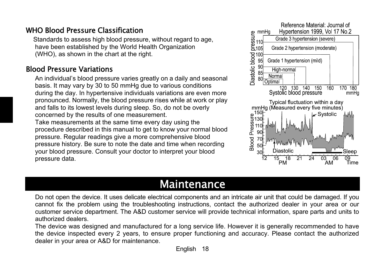#### WHO Blood Pressure Classification

 Standards to assess high blood pressure, without regard to age, have been established by the World Health Organization (WHO), as shown in the chart at the right.

#### Blood Pressure Variations

 An individual's blood pressure varies greatly on a daily and seasonal basis. It may vary by 30 to 50 mmHg due to various conditions during the day. In hypertensive individuals variations are even more pronounced. Normally, the blood pressure rises while at work or play and falls to its lowest levels during sleep. So, do not be overly concerned by the results of one measurement. Take measurements at the same time every day using the procedure described in this manual to get to know your normal blood pressure. Regular readings give a more comprehensive blood pressure history. Be sure to note the date and time when recording your blood pressure. Consult your doctor to interpret your blood pressure data.



### Maintenance

 Do not open the device. It uses delicate electrical components and an intricate air unit that could be damaged. If you cannot fix the problem using the troubleshooting instructions, contact the authorized dealer in your area or our customer service department. The A&D customer service will provide technical information, spare parts and units to authorized dealers.

 The device was designed and manufactured for a long service life. However it is generally recommended to have the device inspected every 2 years, to ensure proper functioning and accuracy. Please contact the authorized dealer in your area or A&D for maintenance.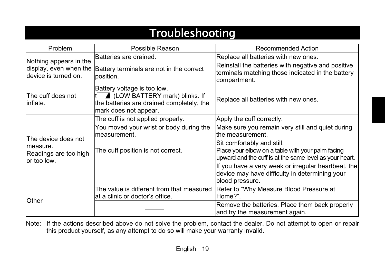### Troubleshooting

| Problem                                                                  | <b>Possible Reason</b>                                                                                                               | <b>Recommended Action</b>                                                                                                                  |
|--------------------------------------------------------------------------|--------------------------------------------------------------------------------------------------------------------------------------|--------------------------------------------------------------------------------------------------------------------------------------------|
|                                                                          | Batteries are drained.                                                                                                               | Replace all batteries with new ones.                                                                                                       |
| Nothing appears in the<br>display, even when the<br>device is turned on. | Battery terminals are not in the correct<br>position.                                                                                | Reinstall the batteries with negative and positive<br>terminals matching those indicated in the battery<br>compartment.                    |
| The cuff does not<br> inflate.                                           | Battery voltage is too low.<br>▲ (LOW BATTERY mark) blinks. If<br>the batteries are drained completely, the<br>mark does not appear. | Replace all batteries with new ones.                                                                                                       |
|                                                                          | The cuff is not applied properly.                                                                                                    | Apply the cuff correctly.                                                                                                                  |
|                                                                          | You moved your wrist or body during the<br>measurement.                                                                              | Make sure you remain very still and quiet during<br>the measurement.                                                                       |
| The device does not<br>measure.<br>Readings are too high<br>lor too low. | The cuff position is not correct.                                                                                                    | Sit comfortably and still.<br>Place your elbow on a table with your palm facing<br>upward and the cuff is at the same level as your heart. |
|                                                                          |                                                                                                                                      | If you have a very weak or irregular heartbeat, the<br>device may have difficulty in determining your<br>blood pressure.                   |
| <b>Other</b>                                                             | The value is different from that measured<br>at a clinic or doctor's office.                                                         | Refer to "Why Measure Blood Pressure at<br>Home?".                                                                                         |
|                                                                          |                                                                                                                                      | Remove the batteries. Place them back properly<br>and try the measurement again.                                                           |

Note: If the actions described above do not solve the problem, contact the dealer. Do not attempt to open or repair this product yourself, as any attempt to do so will make your warranty invalid.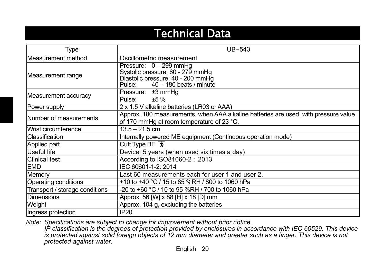### Technical Data

| Type                           | $UB-543$                                                                                                                            |  |
|--------------------------------|-------------------------------------------------------------------------------------------------------------------------------------|--|
| Measurement method             | Oscillometric measurement                                                                                                           |  |
| Measurement range              | Pressure: $0 - 299$ mmHg<br>Systolic pressure: 60 - 279 mmHg<br>Diastolic pressure: 40 - 200 mmHg<br>Pulse: 40 - 180 beats / minute |  |
| Measurement accuracy           | Pressure: ±3 mmHg<br>Pulse: $\pm 5\%$                                                                                               |  |
| Power supply                   | 2 x 1.5 V alkaline batteries (LR03 or AAA)                                                                                          |  |
| Number of measurements         | Approx. 180 measurements, when AAA alkaline batteries are used, with pressure value<br>of 170 mmHg at room temperature of 23 °C.    |  |
| Wrist circumference            | $13.5 - 21.5$ cm                                                                                                                    |  |
| <b>Classification</b>          | Internally powered ME equipment (Continuous operation mode)                                                                         |  |
| <b>Applied part</b>            | Cuff Type BF $ \star $                                                                                                              |  |
| Useful life                    | Device: 5 years (when used six times a day)                                                                                         |  |
| <b>Clinical test</b>           | According to ISO81060-2: 2013                                                                                                       |  |
| <b>EMD</b>                     | IEC 60601-1-2: 2014                                                                                                                 |  |
| <b>Memory</b>                  | Last 60 measurements each for user 1 and user 2.                                                                                    |  |
| <b>Operating conditions</b>    | +10 to +40 °C / 15 to 85 %RH / 800 to 1060 hPa                                                                                      |  |
| Transport / storage conditions | -20 to +60 °C / 10 to 95 %RH / 700 to 1060 hPa                                                                                      |  |
| <b>Dimensions</b>              | Approx. 56 [W] x 88 [H] x 18 [D] mm                                                                                                 |  |
| Weight                         | Approx. 104 g, excluding the batteries                                                                                              |  |
| Ingress protection             | <b>IP20</b>                                                                                                                         |  |

*Note: Specifications are subject to change for improvement without prior notice.* 

*IP classification is the degrees of protection provided by enclosures in accordance with IEC 60529. This device is protected against solid foreign objects of 12 mm diameter and greater such as a finger. This device is not protected against water.*